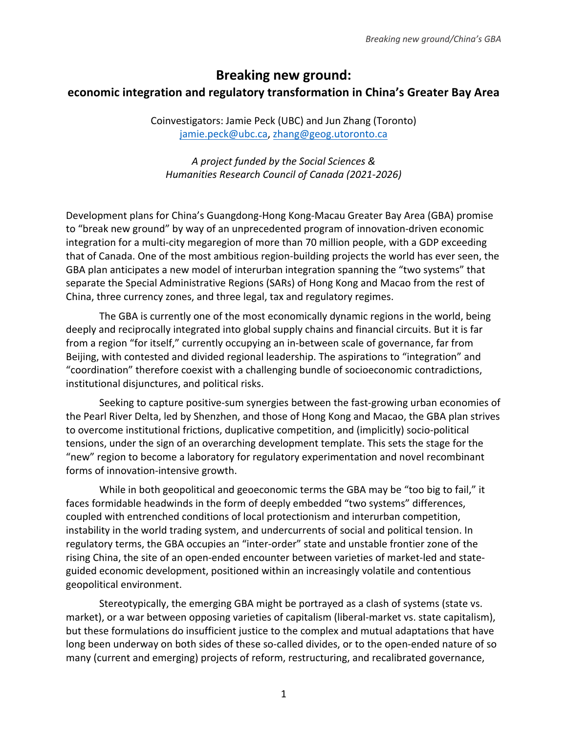# **Breaking new ground: economic integration and regulatory transformation in China's Greater Bay Area**

Coinvestigators: Jamie Peck (UBC) and Jun Zhang (Toronto) jamie.peck@ubc.ca, zhang@geog.utoronto.ca

*A project funded by the Social Sciences & Humanities Research Council of Canada (2021-2026)*

Development plans for China's Guangdong-Hong Kong-Macau Greater Bay Area (GBA) promise to "break new ground" by way of an unprecedented program of innovation-driven economic integration for a multi-city megaregion of more than 70 million people, with a GDP exceeding that of Canada. One of the most ambitious region-building projects the world has ever seen, the GBA plan anticipates a new model of interurban integration spanning the "two systems" that separate the Special Administrative Regions (SARs) of Hong Kong and Macao from the rest of China, three currency zones, and three legal, tax and regulatory regimes.

The GBA is currently one of the most economically dynamic regions in the world, being deeply and reciprocally integrated into global supply chains and financial circuits. But it is far from a region "for itself," currently occupying an in-between scale of governance, far from Beijing, with contested and divided regional leadership. The aspirations to "integration" and "coordination" therefore coexist with a challenging bundle of socioeconomic contradictions, institutional disjunctures, and political risks.

Seeking to capture positive-sum synergies between the fast-growing urban economies of the Pearl River Delta, led by Shenzhen, and those of Hong Kong and Macao, the GBA plan strives to overcome institutional frictions, duplicative competition, and (implicitly) socio-political tensions, under the sign of an overarching development template. This sets the stage for the "new" region to become a laboratory for regulatory experimentation and novel recombinant forms of innovation-intensive growth.

While in both geopolitical and geoeconomic terms the GBA may be "too big to fail," it faces formidable headwinds in the form of deeply embedded "two systems" differences, coupled with entrenched conditions of local protectionism and interurban competition, instability in the world trading system, and undercurrents of social and political tension. In regulatory terms, the GBA occupies an "inter-order" state and unstable frontier zone of the rising China, the site of an open-ended encounter between varieties of market-led and stateguided economic development, positioned within an increasingly volatile and contentious geopolitical environment.

Stereotypically, the emerging GBA might be portrayed as a clash of systems (state vs. market), or a war between opposing varieties of capitalism (liberal-market vs. state capitalism), but these formulations do insufficient justice to the complex and mutual adaptations that have long been underway on both sides of these so-called divides, or to the open-ended nature of so many (current and emerging) projects of reform, restructuring, and recalibrated governance,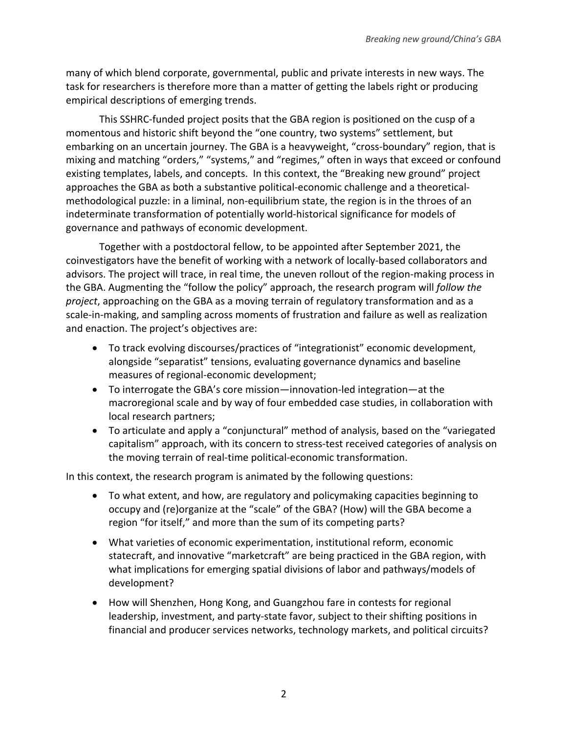many of which blend corporate, governmental, public and private interests in new ways. The task for researchers is therefore more than a matter of getting the labels right or producing empirical descriptions of emerging trends.

This SSHRC-funded project posits that the GBA region is positioned on the cusp of a momentous and historic shift beyond the "one country, two systems" settlement, but embarking on an uncertain journey. The GBA is a heavyweight, "cross-boundary" region, that is mixing and matching "orders," "systems," and "regimes," often in ways that exceed or confound existing templates, labels, and concepts. In this context, the "Breaking new ground" project approaches the GBA as both a substantive political-economic challenge and a theoreticalmethodological puzzle: in a liminal, non-equilibrium state, the region is in the throes of an indeterminate transformation of potentially world-historical significance for models of governance and pathways of economic development.

Together with a postdoctoral fellow, to be appointed after September 2021, the coinvestigators have the benefit of working with a network of locally-based collaborators and advisors. The project will trace, in real time, the uneven rollout of the region-making process in the GBA. Augmenting the "follow the policy" approach, the research program will *follow the project*, approaching on the GBA as a moving terrain of regulatory transformation and as a scale-in-making, and sampling across moments of frustration and failure as well as realization and enaction. The project's objectives are:

- To track evolving discourses/practices of "integrationist" economic development, alongside "separatist" tensions, evaluating governance dynamics and baseline measures of regional-economic development;
- To interrogate the GBA's core mission—innovation-led integration—at the macroregional scale and by way of four embedded case studies, in collaboration with local research partners;
- To articulate and apply a "conjunctural" method of analysis, based on the "variegated capitalism" approach, with its concern to stress-test received categories of analysis on the moving terrain of real-time political-economic transformation.

In this context, the research program is animated by the following questions:

- To what extent, and how, are regulatory and policymaking capacities beginning to occupy and (re)organize at the "scale" of the GBA? (How) will the GBA become a region "for itself," and more than the sum of its competing parts?
- What varieties of economic experimentation, institutional reform, economic statecraft, and innovative "marketcraft" are being practiced in the GBA region, with what implications for emerging spatial divisions of labor and pathways/models of development?
- How will Shenzhen, Hong Kong, and Guangzhou fare in contests for regional leadership, investment, and party-state favor, subject to their shifting positions in financial and producer services networks, technology markets, and political circuits?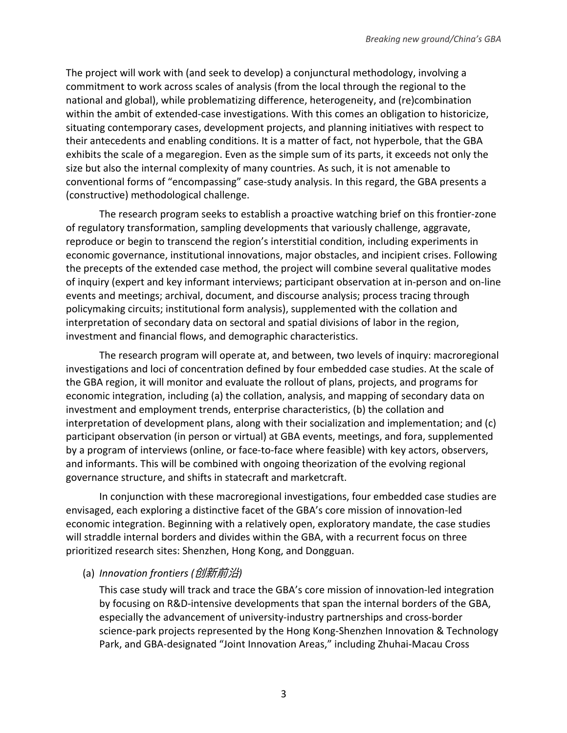The project will work with (and seek to develop) a conjunctural methodology, involving a commitment to work across scales of analysis (from the local through the regional to the national and global), while problematizing difference, heterogeneity, and (re)combination within the ambit of extended-case investigations. With this comes an obligation to historicize, situating contemporary cases, development projects, and planning initiatives with respect to their antecedents and enabling conditions. It is a matter of fact, not hyperbole, that the GBA exhibits the scale of a megaregion. Even as the simple sum of its parts, it exceeds not only the size but also the internal complexity of many countries. As such, it is not amenable to conventional forms of "encompassing" case-study analysis. In this regard, the GBA presents a (constructive) methodological challenge.

The research program seeks to establish a proactive watching brief on this frontier-zone of regulatory transformation, sampling developments that variously challenge, aggravate, reproduce or begin to transcend the region's interstitial condition, including experiments in economic governance, institutional innovations, major obstacles, and incipient crises. Following the precepts of the extended case method, the project will combine several qualitative modes of inquiry (expert and key informant interviews; participant observation at in-person and on-line events and meetings; archival, document, and discourse analysis; process tracing through policymaking circuits; institutional form analysis), supplemented with the collation and interpretation of secondary data on sectoral and spatial divisions of labor in the region, investment and financial flows, and demographic characteristics.

The research program will operate at, and between, two levels of inquiry: macroregional investigations and loci of concentration defined by four embedded case studies. At the scale of the GBA region, it will monitor and evaluate the rollout of plans, projects, and programs for economic integration, including (a) the collation, analysis, and mapping of secondary data on investment and employment trends, enterprise characteristics, (b) the collation and interpretation of development plans, along with their socialization and implementation; and (c) participant observation (in person or virtual) at GBA events, meetings, and fora, supplemented by a program of interviews (online, or face-to-face where feasible) with key actors, observers, and informants. This will be combined with ongoing theorization of the evolving regional governance structure, and shifts in statecraft and marketcraft.

In conjunction with these macroregional investigations, four embedded case studies are envisaged, each exploring a distinctive facet of the GBA's core mission of innovation-led economic integration. Beginning with a relatively open, exploratory mandate, the case studies will straddle internal borders and divides within the GBA, with a recurrent focus on three prioritized research sites: Shenzhen, Hong Kong, and Dongguan.

#### (a) *Innovation frontiers (*创新前沿*)*

This case study will track and trace the GBA's core mission of innovation-led integration by focusing on R&D-intensive developments that span the internal borders of the GBA, especially the advancement of university-industry partnerships and cross-border science-park projects represented by the Hong Kong-Shenzhen Innovation & Technology Park, and GBA-designated "Joint Innovation Areas," including Zhuhai-Macau Cross